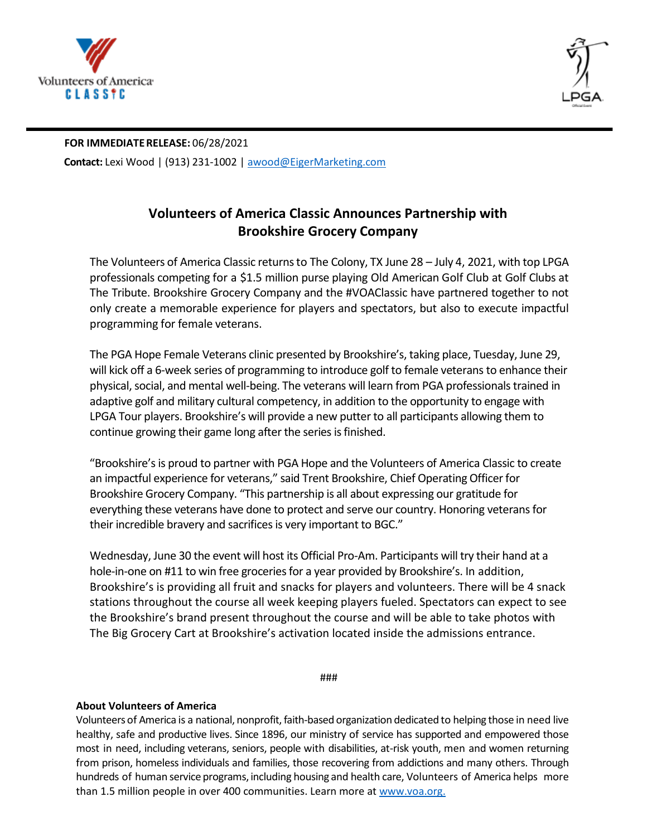



 **FOR IMMEDIATERELEASE:** 06/28/2021 **Contact:** Lexi Wood | (913) 231-1002 | [awood@EigerMarketing.com](mailto:awood@EigerMarketing.com)

# **Volunteers of America Classic Announces Partnership with Brookshire Grocery Company**

The Volunteers of America Classic returns to The Colony, TX June 28 – July 4, 2021, with top LPGA professionals competing for a \$1.5 million purse playing Old American Golf Club at Golf Clubs at The Tribute. Brookshire Grocery Company and the #VOAClassic have partnered together to not only create a memorable experience for players and spectators, but also to execute impactful programming for female veterans.

The PGA Hope Female Veterans clinic presented by Brookshire's, taking place, Tuesday, June 29, will kick off a 6-week series of programming to introduce golf to female veterans to enhance their physical, social, and mental well-being. The veterans will learn from PGA professionals trained in adaptive golf and military cultural competency, in addition to the opportunity to engage with LPGA Tour players. Brookshire's will provide a new putter to all participants allowing them to continue growing their game long after the series is finished.

"Brookshire's is proud to partner with PGA Hope and the Volunteers of America Classic to create an impactful experience for veterans," said Trent Brookshire, Chief Operating Officer for Brookshire Grocery Company. "This partnership is all about expressing our gratitude for everything these veterans have done to protect and serve our country. Honoring veterans for their incredible bravery and sacrifices is very important to BGC."

Wednesday, June 30 the event will host its Official Pro-Am. Participants will try their hand at a hole-in-one on #11 to win free groceries for a year provided by Brookshire's. In addition, Brookshire's is providing all fruit and snacks for players and volunteers. There will be 4 snack stations throughout the course all week keeping players fueled. Spectators can expect to see the Brookshire's brand present throughout the course and will be able to take photos with The Big Grocery Cart at Brookshire's activation located inside the admissions entrance.

###

# **About Volunteers of America**

Volunteers of America is a national, nonprofit, faith-based organization dedicated to helping those in need live healthy, safe and productive lives. Since 1896, our ministry of service has supported and empowered those most in need, including veterans, seniors, people with disabilities, at-risk youth, men and women returning from prison, homeless individuals and families, those recovering from addictions and many others. Through hundreds of human service programs, including housing and health care, Volunteers of America helps more than 1.5 million people in over 400 communities. Learn more at [www.voa.org.](https://protect-us.mimecast.com/s/iuKhCDkAYYFvMp1f5Mecp?domain=voa.org/)